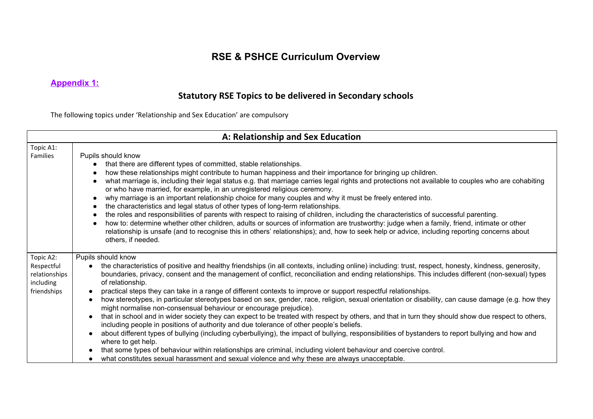# **RSE & PSHCE Curriculum Overview**

## **Appendix 1:**

# **Statutory RSE Topics to be delivered in Secondary schools**

The following topics under 'Relationship and Sex Education' are compulsory

| A: Relationship and Sex Education                                    |                                                                                                                                                                                                                                                                                                                                                                                                                                                                                                                                                                                                                                                                                                                                                                                                                                                                                                                                                                                                                                                                                                                                                                                                                                                                                                                                                                                            |  |  |  |  |  |  |  |  |  |
|----------------------------------------------------------------------|--------------------------------------------------------------------------------------------------------------------------------------------------------------------------------------------------------------------------------------------------------------------------------------------------------------------------------------------------------------------------------------------------------------------------------------------------------------------------------------------------------------------------------------------------------------------------------------------------------------------------------------------------------------------------------------------------------------------------------------------------------------------------------------------------------------------------------------------------------------------------------------------------------------------------------------------------------------------------------------------------------------------------------------------------------------------------------------------------------------------------------------------------------------------------------------------------------------------------------------------------------------------------------------------------------------------------------------------------------------------------------------------|--|--|--|--|--|--|--|--|--|
| Topic A1:<br>Families                                                | Pupils should know<br>that there are different types of committed, stable relationships.<br>how these relationships might contribute to human happiness and their importance for bringing up children.<br>what marriage is, including their legal status e.g. that marriage carries legal rights and protections not available to couples who are cohabiting<br>or who have married, for example, in an unregistered religious ceremony.<br>why marriage is an important relationship choice for many couples and why it must be freely entered into.<br>the characteristics and legal status of other types of long-term relationships.<br>the roles and responsibilities of parents with respect to raising of children, including the characteristics of successful parenting.<br>how to: determine whether other children, adults or sources of information are trustworthy: judge when a family, friend, intimate or other<br>relationship is unsafe (and to recognise this in others' relationships); and, how to seek help or advice, including reporting concerns about<br>others, if needed.                                                                                                                                                                                                                                                                                      |  |  |  |  |  |  |  |  |  |
| Topic A2:<br>Respectful<br>relationships<br>including<br>friendships | Pupils should know<br>the characteristics of positive and healthy friendships (in all contexts, including online) including: trust, respect, honesty, kindness, generosity,<br>$\bullet$<br>boundaries, privacy, consent and the management of conflict, reconciliation and ending relationships. This includes different (non-sexual) types<br>of relationship.<br>practical steps they can take in a range of different contexts to improve or support respectful relationships.<br>how stereotypes, in particular stereotypes based on sex, gender, race, religion, sexual orientation or disability, can cause damage (e.g. how they<br>$\bullet$<br>might normalise non-consensual behaviour or encourage prejudice).<br>that in school and in wider society they can expect to be treated with respect by others, and that in turn they should show due respect to others,<br>including people in positions of authority and due tolerance of other people's beliefs.<br>about different types of bullying (including cyberbullying), the impact of bullying, responsibilities of bystanders to report bullying and how and<br>$\bullet$<br>where to get help.<br>that some types of behaviour within relationships are criminal, including violent behaviour and coercive control.<br>what constitutes sexual harassment and sexual violence and why these are always unacceptable. |  |  |  |  |  |  |  |  |  |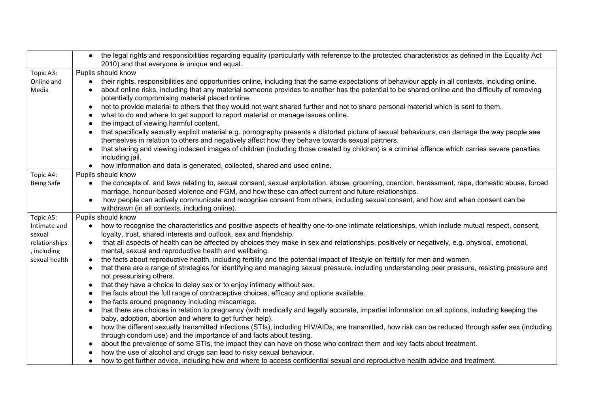|                   |           | • the legal rights and responsibilities regarding equality (particularly with reference to the protected characteristics as defined in the Equality Act                      |
|-------------------|-----------|------------------------------------------------------------------------------------------------------------------------------------------------------------------------------|
|                   |           | 2010) and that everyone is unique and equal.                                                                                                                                 |
| Topic A3:         |           | Pupils should know                                                                                                                                                           |
| Online and        | $\bullet$ | their rights, responsibilities and opportunities online, including that the same expectations of behaviour apply in all contexts, including online.                          |
| Media             |           | about online risks, including that any material someone provides to another has the potential to be shared online and the difficulty of removing                             |
|                   |           | potentially compromising material placed online.                                                                                                                             |
|                   | $\bullet$ | not to provide material to others that they would not want shared further and not to share personal material which is sent to them.                                          |
|                   |           | what to do and where to get support to report material or manage issues online.                                                                                              |
|                   |           | the impact of viewing harmful content.                                                                                                                                       |
|                   | $\bullet$ | that specifically sexually explicit material e.g. pornography presents a distorted picture of sexual behaviours, can damage the way people see                               |
|                   |           | themselves in relation to others and negatively affect how they behave towards sexual partners.                                                                              |
|                   | $\bullet$ | that sharing and viewing indecent images of children (including those created by children) is a criminal offence which carries severe penalties                              |
|                   |           | including jail.                                                                                                                                                              |
|                   |           | how information and data is generated, collected, shared and used online.                                                                                                    |
| Topic A4:         |           | Pupils should know                                                                                                                                                           |
| <b>Being Safe</b> | $\bullet$ | the concepts of, and laws relating to, sexual consent, sexual exploitation, abuse, grooming, coercion, harassment, rape, domestic abuse, forced                              |
|                   |           | marriage, honour-based violence and FGM, and how these can affect current and future relationships.                                                                          |
|                   | $\bullet$ | how people can actively communicate and recognise consent from others, including sexual consent, and how and when consent can be                                             |
|                   |           | withdrawn (in all contexts, including online).                                                                                                                               |
| Topic A5:         |           | Pupils should know                                                                                                                                                           |
| Intimate and      |           | how to recognise the characteristics and positive aspects of healthy one-to-one intimate relationships, which include mutual respect, consent,                               |
| sexual            |           | loyalty, trust, shared interests and outlook, sex and friendship.                                                                                                            |
| relationships     |           | that all aspects of health can be affected by choices they make in sex and relationships, positively or negatively, e.g. physical, emotional,                                |
| , including       |           | mental, sexual and reproductive health and wellbeing.                                                                                                                        |
| sexual health     |           | the facts about reproductive health, including fertility and the potential impact of lifestyle on fertility for men and women.                                               |
|                   |           | that there are a range of strategies for identifying and managing sexual pressure, including understanding peer pressure, resisting pressure and<br>not pressurising others. |
|                   |           | that they have a choice to delay sex or to enjoy intimacy without sex.                                                                                                       |
|                   |           | the facts about the full range of contraceptive choices, efficacy and options available.                                                                                     |
|                   |           | the facts around pregnancy including miscarriage.                                                                                                                            |
|                   |           | that there are choices in relation to pregnancy (with medically and legally accurate, impartial information on all options, including keeping the                            |
|                   |           | baby, adoption, abortion and where to get further help).                                                                                                                     |
|                   |           | how the different sexually transmitted infections (STIs), including HIV/AIDs, are transmitted, how risk can be reduced through safer sex (including                          |
|                   |           | through condom use) and the importance of and facts about testing.                                                                                                           |
|                   |           | about the prevalence of some STIs, the impact they can have on those who contract them and key facts about treatment.                                                        |
|                   |           | how the use of alcohol and drugs can lead to risky sexual behaviour.                                                                                                         |
|                   | $\bullet$ | how to get further advice, including how and where to access confidential sexual and reproductive health advice and treatment.                                               |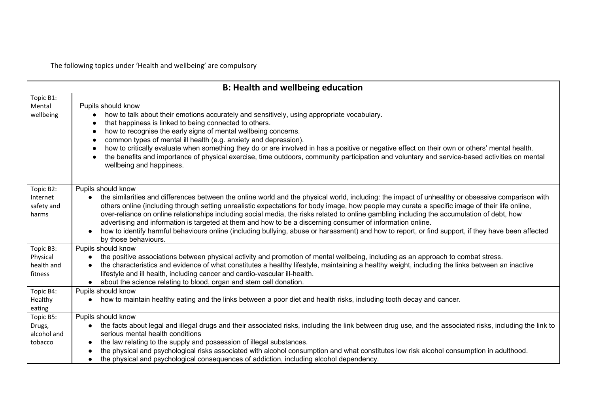The following topics under 'Health and wellbeing' are compulsory

|                                                             | <b>B: Health and wellbeing education</b>                                                                                                                                                                                                                                                                                                                                                                                                                                                                                                                                                                                                                                                                                                                            |
|-------------------------------------------------------------|---------------------------------------------------------------------------------------------------------------------------------------------------------------------------------------------------------------------------------------------------------------------------------------------------------------------------------------------------------------------------------------------------------------------------------------------------------------------------------------------------------------------------------------------------------------------------------------------------------------------------------------------------------------------------------------------------------------------------------------------------------------------|
| Topic B1:<br>Mental<br>wellbeing                            | Pupils should know<br>how to talk about their emotions accurately and sensitively, using appropriate vocabulary.<br>that happiness is linked to being connected to others.<br>how to recognise the early signs of mental wellbeing concerns.<br>$\bullet$<br>common types of mental ill health (e.g. anxiety and depression).<br>- 0<br>how to critically evaluate when something they do or are involved in has a positive or negative effect on their own or others' mental health.<br>-<br>the benefits and importance of physical exercise, time outdoors, community participation and voluntary and service-based activities on mental<br>wellbeing and happiness.                                                                                             |
| Topic B2:<br>Internet<br>safety and<br>harms                | Pupils should know<br>the similarities and differences between the online world and the physical world, including: the impact of unhealthy or obsessive comparison with<br>others online (including through setting unrealistic expectations for body image, how people may curate a specific image of their life online,<br>over-reliance on online relationships including social media, the risks related to online gambling including the accumulation of debt, how<br>advertising and information is targeted at them and how to be a discerning consumer of information online.<br>how to identify harmful behaviours online (including bullying, abuse or harassment) and how to report, or find support, if they have been affected<br>by those behaviours. |
| Topic B3:<br>Physical<br>health and<br>fitness<br>Topic B4: | Pupils should know<br>the positive associations between physical activity and promotion of mental wellbeing, including as an approach to combat stress.<br>the characteristics and evidence of what constitutes a healthy lifestyle, maintaining a healthy weight, including the links between an inactive<br>lifestyle and ill health, including cancer and cardio-vascular ill-health.<br>about the science relating to blood, organ and stem cell donation.<br>Pupils should know                                                                                                                                                                                                                                                                                |
| Healthy<br>eating                                           | how to maintain healthy eating and the links between a poor diet and health risks, including tooth decay and cancer.                                                                                                                                                                                                                                                                                                                                                                                                                                                                                                                                                                                                                                                |
| Topic B5:<br>Drugs,<br>alcohol and<br>tobacco               | Pupils should know<br>the facts about legal and illegal drugs and their associated risks, including the link between drug use, and the associated risks, including the link to<br>serious mental health conditions<br>the law relating to the supply and possession of illegal substances.<br>the physical and psychological risks associated with alcohol consumption and what constitutes low risk alcohol consumption in adulthood.<br>the physical and psychological consequences of addiction, including alcohol dependency.                                                                                                                                                                                                                                   |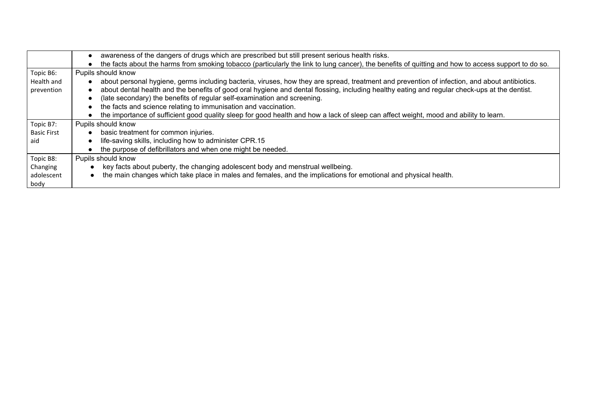|                    | awareness of the dangers of drugs which are prescribed but still present serious health risks.                                                      |
|--------------------|-----------------------------------------------------------------------------------------------------------------------------------------------------|
|                    | the facts about the harms from smoking tobacco (particularly the link to lung cancer), the benefits of quitting and how to access support to do so. |
| Topic B6:          | Pupils should know                                                                                                                                  |
| Health and         | about personal hygiene, germs including bacteria, viruses, how they are spread, treatment and prevention of infection, and about antibiotics.       |
| prevention         | about dental health and the benefits of good oral hygiene and dental flossing, including healthy eating and regular check-ups at the dentist.       |
|                    | (late secondary) the benefits of regular self-examination and screening.                                                                            |
|                    | the facts and science relating to immunisation and vaccination.                                                                                     |
|                    | the importance of sufficient good quality sleep for good health and how a lack of sleep can affect weight, mood and ability to learn.               |
| Topic B7:          | Pupils should know                                                                                                                                  |
| <b>Basic First</b> | basic treatment for common injuries.                                                                                                                |
| aid                | life-saving skills, including how to administer CPR.15                                                                                              |
|                    | the purpose of defibrillators and when one might be needed.                                                                                         |
| Topic B8:          | Pupils should know                                                                                                                                  |
| Changing           | key facts about puberty, the changing adolescent body and menstrual wellbeing.                                                                      |
| adolescent         | the main changes which take place in males and females, and the implications for emotional and physical health.                                     |
| body               |                                                                                                                                                     |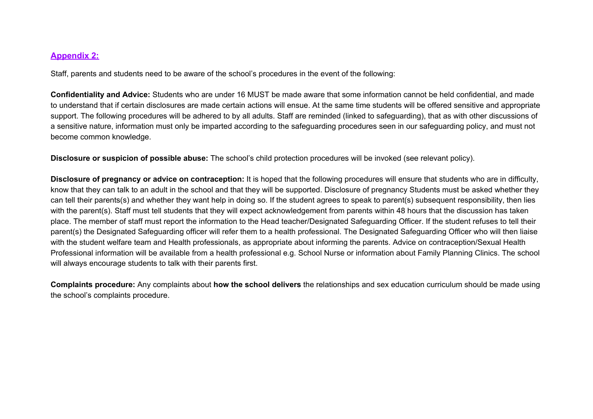### **Appendix 2:**

Staff, parents and students need to be aware of the school's procedures in the event of the following:

**Confidentiality and Advice:** Students who are under 16 MUST be made aware that some information cannot be held confidential, and made to understand that if certain disclosures are made certain actions will ensue. At the same time students will be offered sensitive and appropriate support. The following procedures will be adhered to by all adults. Staff are reminded (linked to safeguarding), that as with other discussions of a sensitive nature, information must only be imparted according to the safeguarding procedures seen in our safeguarding policy, and must not become common knowledge.

**Disclosure or suspicion of possible abuse:** The school's child protection procedures will be invoked (see relevant policy).

**Disclosure of pregnancy or advice on contraception:** It is hoped that the following procedures will ensure that students who are in difficulty, know that they can talk to an adult in the school and that they will be supported. Disclosure of pregnancy Students must be asked whether they can tell their parents(s) and whether they want help in doing so. If the student agrees to speak to parent(s) subsequent responsibility, then lies with the parent(s). Staff must tell students that they will expect acknowledgement from parents within 48 hours that the discussion has taken place. The member of staff must report the information to the Head teacher/Designated Safeguarding Officer. If the student refuses to tell their parent(s) the Designated Safeguarding officer will refer them to a health professional. The Designated Safeguarding Officer who will then liaise with the student welfare team and Health professionals, as appropriate about informing the parents. Advice on contraception/Sexual Health Professional information will be available from a health professional e.g. School Nurse or information about Family Planning Clinics. The school will always encourage students to talk with their parents first.

**Complaints procedure:** Any complaints about **how the school delivers** the relationships and sex education curriculum should be made using the school's complaints procedure.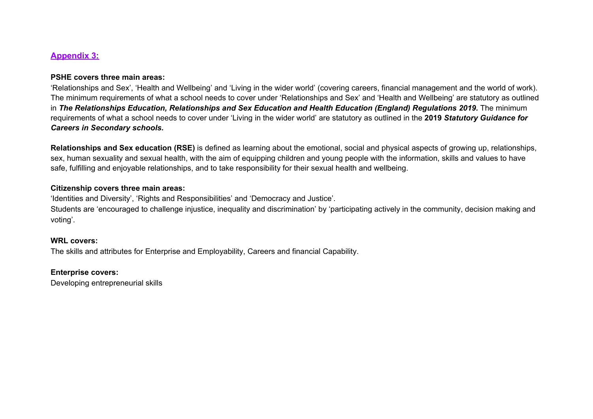### **Appendix 3:**

#### **PSHE covers three main areas:**

'Relationships and Sex', 'Health and Wellbeing' and 'Living in the wider world' (covering careers, financial management and the world of work). The minimum requirements of what a school needs to cover under 'Relationships and Sex' and 'Health and Wellbeing' are statutory as outlined in *The Relationships Education, Relationships and Sex Education and Health Education (England) Regulations 2019.* The minimum requirements of what a school needs to cover under 'Living in the wider world' are statutory as outlined in the **2019** *Statutory Guidance for Careers in Secondary schools.*

**Relationships and Sex education (RSE)** is defined as learning about the emotional, social and physical aspects of growing up, relationships, sex, human sexuality and sexual health, with the aim of equipping children and young people with the information, skills and values to have safe, fulfilling and enjoyable relationships, and to take responsibility for their sexual health and wellbeing.

#### **Citizenship covers three main areas:**

'Identities and Diversity', 'Rights and Responsibilities' and 'Democracy and Justice'.

Students are 'encouraged to challenge injustice, inequality and discrimination' by 'participating actively in the community, decision making and voting'.

#### **WRL covers:**

The skills and attributes for Enterprise and Employability, Careers and financial Capability.

#### **Enterprise covers:**

Developing entrepreneurial skills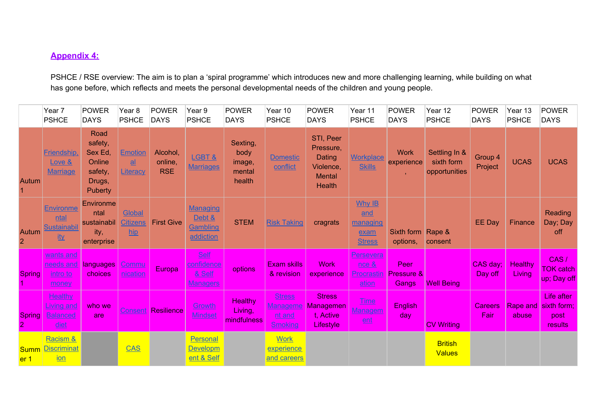## **Appendix 4:**

PSHCE / RSE overview: The aim is to plan a 'spiral programme' which introduces new and more challenging learning, while building on what has gone before, which reflects and meets the personal developmental needs of the children and young people.

|                                 | Year 7<br><b>PSHCE</b>                                           | <b>POWER</b><br><b>DAYS</b>                                                 | Year <sub>8</sub><br><b>PSHCE</b>                             | <b>POWER</b><br><b>DAYS</b>       | Year 9<br><b>PSHCE</b>                                 | <b>POWER</b><br><b>DAYS</b>                    | Year 10<br><b>PSHCE</b>                                      | <b>POWER</b><br><b>DAYS</b>                                              | Year 11<br><b>PSHCE</b>                            | <b>POWER</b><br><b>DAYS</b>        | Year 12<br><b>PSHCE</b>                      | <b>POWER</b><br><b>DAYS</b> | Year 13<br><b>PSHCE</b>         | <b>POWER</b><br><b>DAYS</b>                  |
|---------------------------------|------------------------------------------------------------------|-----------------------------------------------------------------------------|---------------------------------------------------------------|-----------------------------------|--------------------------------------------------------|------------------------------------------------|--------------------------------------------------------------|--------------------------------------------------------------------------|----------------------------------------------------|------------------------------------|----------------------------------------------|-----------------------------|---------------------------------|----------------------------------------------|
| Autum                           | Friendship,<br>Love &<br><b>Marriage</b>                         | Road<br>safety,<br>Sex Ed,<br>Online<br>safety,<br>Drugs,<br><b>Puberty</b> | <b>Emotion</b><br>$\underline{\mathbf{a}}$<br><b>Literacy</b> | Alcohol,<br>online,<br><b>RSE</b> | LGBT&<br><b>Marriages</b>                              | Sexting,<br>body<br>image,<br>mental<br>health | <b>Domestic</b><br>conflict                                  | STI, Peer<br>Pressure,<br>Dating<br>Violence,<br><b>Mental</b><br>Health | <b>Workplace</b><br><b>Skills</b>                  | <b>Work</b><br>experience          | Settling In &<br>sixth form<br>opportunities | Group 4<br>Project          | <b>UCAS</b>                     | <b>UCAS</b>                                  |
| Autum<br>$\overline{2}$         | <b>Environme</b><br><u>ntal</u><br>Sustainabil<br><u>ity</u>     | Environme<br>ntal<br>sustainabil<br>ity,<br>enterprise                      | <b>Global</b><br><b>Citizens</b><br>$\mathbf{h}$              | <b>First Give</b>                 | Managing<br>Debt &<br>Gambling<br>addiction            | <b>STEM</b>                                    | <b>Risk Taking</b>                                           | cragrats                                                                 | Why IB<br>and<br>managing<br>exam<br><b>Stress</b> | Sixth form<br>options,             | Rape &<br>consent                            | <b>EE Day</b>               | Finance                         | Reading<br>Day; Day<br>off                   |
| <b>Spring</b>                   | <u>wants and</u><br>needs and<br><u>intro to</u><br><u>money</u> | languages<br>choices                                                        | Commu<br><u>nication</u>                                      | Europa                            | <b>Self</b><br>confidence<br>& Self<br><u>Managers</u> | options                                        | <b>Exam skills</b><br>& revision                             | <b>Work</b><br>experience                                                | Persevera<br>$nce$ &<br><b>Procrastin</b><br>ation | Peer<br>Pressure &<br><b>Gangs</b> | <b>Well Being</b>                            | CAS day;<br>Day off         | <b>Healthy</b><br><b>Living</b> | CAS/<br><b>TOK catch</b><br>up; Day off      |
| <b>Spring</b><br>$\overline{2}$ | <b>Healthy</b><br><u>.iving and</u><br><b>Balanced</b><br>diet   | who we<br>are                                                               | Consent                                                       | Resilience                        | Growth<br>Mindset                                      | Healthy<br>Living,<br>mindfulness              | <b>Stress</b><br><b>Manageme</b><br><u>nt and</u><br>Smoking | <b>Stress</b><br><b>Managemen</b><br>t. Active<br>Lifestyle              | <u>Time</u><br><u>Managem</u><br>ent               | <b>English</b><br>day              | <b>CV Writing</b>                            | <b>Careers</b><br>Fair      | Rape and<br>abuse               | Life after<br>sixth form;<br>post<br>results |
| <b>Summ</b><br>er <sub>1</sub>  | Racism &<br>Discriminat<br>ion                                   |                                                                             | <b>CAS</b>                                                    |                                   | Personal<br><b>Developm</b><br>ent & Self              |                                                | <b>Work</b><br>experience<br>and careers                     |                                                                          |                                                    |                                    | <b>British</b><br><b>Values</b>              |                             |                                 |                                              |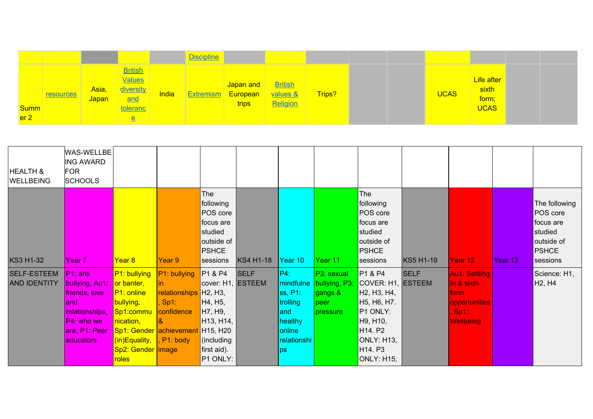|                                |                  |                       |                                                                                             |       | <b>Discipline</b> |                                                 |                                        |        |             |                                             |  |
|--------------------------------|------------------|-----------------------|---------------------------------------------------------------------------------------------|-------|-------------------|-------------------------------------------------|----------------------------------------|--------|-------------|---------------------------------------------|--|
| <b>Summ</b><br>er <sub>2</sub> | <b>resources</b> | Asia,<br><b>Japan</b> | British<br><b>Values</b><br>diversity<br>and<br><b>toleranc</b><br>$\underline{\mathsf{e}}$ | India |                   | Japan and<br><b>Extremism European</b><br>trips | <b>British</b><br>values &<br>Religion | Trips? | <b>UCAS</b> | Life after<br>sixth<br>form;<br><b>UCAS</b> |  |

| <b>HEALTH &amp;</b><br><b>WELLBEING</b>   | WAS-WELLBE<br><b>ING AWARD</b><br><b>FOR</b><br><b>SCHOOLS</b>                                                                     |                                                                                                                                                                                     |                                                                    |                                                                                                                                                                  |                  |                                                                                          |                                                            |                                                                                                                                                                                                                                                                  |                  |                                                                                                    |         |                                                                                             |
|-------------------------------------------|------------------------------------------------------------------------------------------------------------------------------------|-------------------------------------------------------------------------------------------------------------------------------------------------------------------------------------|--------------------------------------------------------------------|------------------------------------------------------------------------------------------------------------------------------------------------------------------|------------------|------------------------------------------------------------------------------------------|------------------------------------------------------------|------------------------------------------------------------------------------------------------------------------------------------------------------------------------------------------------------------------------------------------------------------------|------------------|----------------------------------------------------------------------------------------------------|---------|---------------------------------------------------------------------------------------------|
| <b>KS3 H1-32</b>                          | <b>IYear</b> 7                                                                                                                     | Year 8                                                                                                                                                                              | Year 9                                                             | The<br>following<br>POS core<br>focus are<br>studied<br>outside of<br><b>PSHCE</b><br>sessions                                                                   | <b>KS4 H1-18</b> | Year 10                                                                                  | Year 11                                                    | The<br>following<br>POS core<br>focus are<br>studied<br>outside of<br><b>PSHCE</b><br>sessions                                                                                                                                                                   | <b>KS5 H1-19</b> | Year 12                                                                                            | Year 13 | The following<br>POS core<br>focus are<br>studied<br>outside of<br><b>PSHCE</b><br>sessions |
| <b>SELF-ESTEEM</b><br><b>AND IDENTITY</b> | $ P1:$ anti<br>bullying, Au1:<br>friends, love<br>land.<br>relationships,<br>$ P4 $ : who we<br>are, P1: Peer<br><b>leducators</b> | P1: bullying<br>or banter,<br>$PI:$ online<br>bullying,<br>Sp1:commu<br>nication,<br>Sp1: Gender achievement H15, H20<br>$(n)$ Equality, , P1: body<br>Sp2: Gender   image<br>roles | P1: bullying<br>in.<br>relationships H2, H3,<br>Sp1:<br>confidence | P1 & P4<br>cover: H1, ESTEEM<br>H <sub>4</sub> , H <sub>5</sub> ,<br>H7, H9,<br>H <sub>13</sub> , H <sub>14</sub> , I<br>(including<br>first aid).<br>$P1$ ONLY: | <b>SELF</b>      | P4:<br>mindfulne<br>ss, P1:<br>trolling<br>and<br>healthy<br>online<br>relationshi<br>ps | P3: sexual<br>bullying, P3:<br>gangs &<br>peer<br>pressure | P1 & P4<br>COVER: H1, ESTEEM<br>H <sub>2</sub> , H <sub>3</sub> , H <sub>4</sub> ,<br>H <sub>5</sub> , H <sub>6</sub> , H <sub>7</sub> .<br>P1 ONLY:<br>H9, H10,<br>H <sub>14</sub> P <sub>2</sub><br>ONLY: H13,<br>H <sub>14</sub> P <sub>3</sub><br>ONLY: H15, | <b>SELF</b>      | <b>Au1: Settling</b><br>In & sixth<br>form<br>opportunities<br>, Sp1: <b>.</b><br><b>Wellbeing</b> |         | Science: H1,<br>H <sub>2</sub> , H <sub>4</sub>                                             |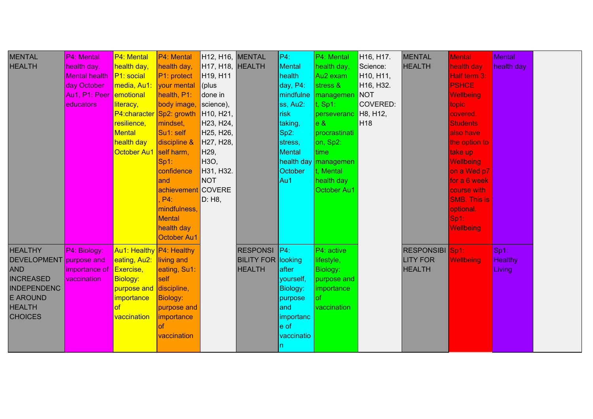| <b>MENTAL</b><br><b>HEALTH</b>                                                                                                                          | P4: Mental<br>health day.<br>Mental health<br>day October<br>Au1, P1: Peer emotional<br>educators | P4: Mental<br>health day,<br>P1: social<br>media, Au1:<br>literacy,<br>P4: character Sp2: growth<br>resilience,<br><b>Mental</b><br>health day<br>October Au1 self harm, | P4: Mental<br>health day,<br>P1: protect<br>your mental<br>health, P1:<br>body image,<br>mindset,<br>Su1: self<br>discipline &<br>Sp1:<br>confidence<br>land<br>achievement COVERE<br>$P4$ :<br>mindfulness,<br>Mental<br>health day<br><b>October Au1</b> | H12, H16, MENTAL<br>H <sub>17</sub> , H <sub>18</sub> , HEALTH<br>H19, H11<br>(plus<br>done in<br>science),<br>H <sub>10</sub> , H <sub>21</sub> ,<br>H23, H24,<br>H <sub>25</sub> , H <sub>26</sub> ,<br>H27, H28,<br>H <sub>29</sub> ,<br>H3O,<br>H31, H32.<br><b>NOT</b><br>D: H <sub>8</sub> |                                                                   | P4:<br>Mental<br>health<br>day, P4:<br>mindfulne<br>ss, Au2:<br>risk<br>taking,<br> Sp2:<br>stress,<br>Mental<br>October<br>Au1 | P4: Mental<br>health day,<br>Au <sub>2</sub> exam<br>stress &<br>managemen<br>$t$ , Sp1:<br>perseveranc<br> e 8 <br>procrastinati<br>on, Sp2:<br>time<br>health day managemen<br>t. Mental<br>health day<br>October Au1 | H <sub>16</sub> , H <sub>17</sub> .<br>Science:<br>H10, H11,<br>H16, H32.<br><b>NOT</b><br>COVERED:<br>H8, H12,<br>H <sub>18</sub> | <b>MENTAL</b><br><b>HEALTH</b>                             | <b>Mental</b><br>health day<br>Half term 3:<br><b>PSHCE</b><br><b>Wellbeing</b><br>topic<br>covered.<br><b>Students</b><br>also have<br>the option to<br>take up<br><b>Wellbeing</b><br>on a Wed p7<br>for a 6 week<br>course with<br><b>SMB. This is</b><br>optional.<br>$Sp1$ :<br>Wellbeing | <b>Mental</b><br>health day         |  |
|---------------------------------------------------------------------------------------------------------------------------------------------------------|---------------------------------------------------------------------------------------------------|--------------------------------------------------------------------------------------------------------------------------------------------------------------------------|------------------------------------------------------------------------------------------------------------------------------------------------------------------------------------------------------------------------------------------------------------|--------------------------------------------------------------------------------------------------------------------------------------------------------------------------------------------------------------------------------------------------------------------------------------------------|-------------------------------------------------------------------|---------------------------------------------------------------------------------------------------------------------------------|-------------------------------------------------------------------------------------------------------------------------------------------------------------------------------------------------------------------------|------------------------------------------------------------------------------------------------------------------------------------|------------------------------------------------------------|------------------------------------------------------------------------------------------------------------------------------------------------------------------------------------------------------------------------------------------------------------------------------------------------|-------------------------------------|--|
| <b>HEALTHY</b><br>DEVELOPMENT purpose and<br><b>AND</b><br><b>INCREASED</b><br><b>INDEPENDENC</b><br><b>E AROUND</b><br><b>HEALTH</b><br><b>CHOICES</b> | P4: Biology:<br>importance of<br>vaccination                                                      | Au1: Healthy P4: Healthy<br>eating, Au2:<br>Exercise,<br><b>Biology:</b><br>purpose and discipline,<br><i>importance</i><br>of<br>vaccination                            | living and<br>eating, Su1:<br>self<br><b>Biology:</b><br>purpose and<br>importance<br>nf<br>vaccination                                                                                                                                                    |                                                                                                                                                                                                                                                                                                  | <b>RESPONSI</b> P4:<br><b>BILITY FOR looking</b><br><b>HEALTH</b> | after<br>yourself,<br><b>Biology:</b><br>purpose<br>and<br>importanc<br>$ e\>$ of<br>vaccinatio                                 | P4: active<br>lifestyle,<br>Biology:<br>purpose and<br>importance<br>lof<br>vaccination                                                                                                                                 |                                                                                                                                    | <b>RESPONSIBI</b> Sp1:<br><b>LITY FOR</b><br><b>HEALTH</b> | <b>Wellbeing</b>                                                                                                                                                                                                                                                                               | $Sp1$ :<br><b>Healthy</b><br>Living |  |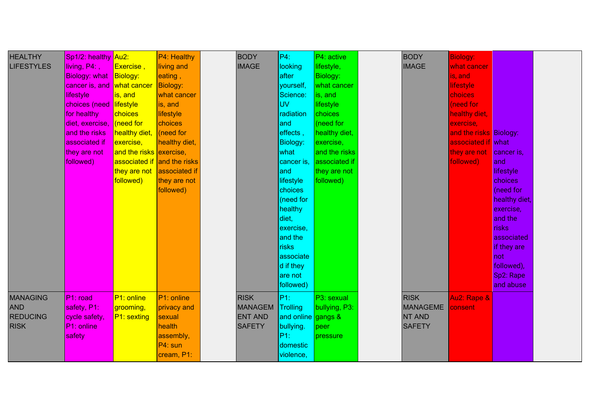| <b>HEALTHY</b><br><b>LIFESTYLES</b>                             | Sp1/2: healthy Au2:<br>$\sqrt{\mathsf{living}}$ , P4:<br><b>Biology: what</b><br>cancer is, and<br>lifestyle<br>choices (need lifestyle<br>for healthy<br>diet, exercise,<br>and the risks<br>associated if | Exercise,<br>Biology:<br>what cancer<br>is, and<br>choices<br>need for<br>healthy diet,<br>exercise, | P4: Healthy<br>living and<br>eating,<br>Biology:<br>what cancer<br>is, and<br>lifestyle<br>choices<br>$ $ (need for<br>healthy diet, | <b>BODY</b><br><b>IMAGE</b>                                      | P4:<br>looking<br>after<br>yourself,<br>Science:<br><b>UV</b><br>radiation<br>land<br>effects,<br><b>Biology:</b>                                                      | $P4:$ active<br>lifestyle,<br>Biology:<br>what cancer<br>is, and<br>lifestyle<br>choices<br>(need for<br>healthy diet,<br>exercise, | <b>BODY</b><br><b>IMAGE</b>                               | <b>Biology:</b><br>what cancer<br>is, and<br>lifestyle<br>choices<br>(need for<br>healthy diet,<br>exercise,<br>and the risks Biology:<br>associated if what |                                                                                                                                                                                             |  |
|-----------------------------------------------------------------|-------------------------------------------------------------------------------------------------------------------------------------------------------------------------------------------------------------|------------------------------------------------------------------------------------------------------|--------------------------------------------------------------------------------------------------------------------------------------|------------------------------------------------------------------|------------------------------------------------------------------------------------------------------------------------------------------------------------------------|-------------------------------------------------------------------------------------------------------------------------------------|-----------------------------------------------------------|--------------------------------------------------------------------------------------------------------------------------------------------------------------|---------------------------------------------------------------------------------------------------------------------------------------------------------------------------------------------|--|
|                                                                 | they are not<br>followed)                                                                                                                                                                                   | and the risks exercise,<br>followed)                                                                 | associated if and the risks<br>they are not associated if<br>they are not<br>followed)                                               |                                                                  | what<br>cancer is,<br>land<br>lifestyle<br>choices<br>(need for<br>healthy<br>diet,<br>exercise.<br>and the<br>risks<br>associate<br>d if they<br>are not<br>followed) | and the risks<br>associated if<br>they are not<br>followed)                                                                         |                                                           | they are not<br>followed)                                                                                                                                    | cancer is,<br>and<br>lifestyle<br>choices<br>(need for<br>healthy diet,<br>exercise,<br>and the<br><b>risks</b><br>associated<br>if they are<br>not<br>followed),<br>Sp2: Rape<br>and abuse |  |
| <b>MANAGING</b><br><b>AND</b><br><b>REDUCING</b><br><b>RISK</b> | $ P1:$ road<br>safety, P1:<br>cycle safety,<br>$ P1:$ online<br>safety                                                                                                                                      | P1: online<br>grooming,<br>P1: sexting                                                               | P1: online<br>privacy and<br>sexual<br>health<br>assembly,<br>P4: sun<br>cream, P1:                                                  | <b>RISK</b><br><b>MANAGEM</b><br><b>ENT AND</b><br><b>SAFETY</b> | P1:<br>Trolling<br>and online gangs &<br>bullying.<br> P1:<br>domestic<br>violence,                                                                                    | P3: sexual<br>bullying, P3:<br>peer<br><i><b>I</b></i> pressure                                                                     | <b>RISK</b><br><b>MANAGEME</b><br>NT AND<br><b>SAFETY</b> | Au2: Rape &<br>consent                                                                                                                                       |                                                                                                                                                                                             |  |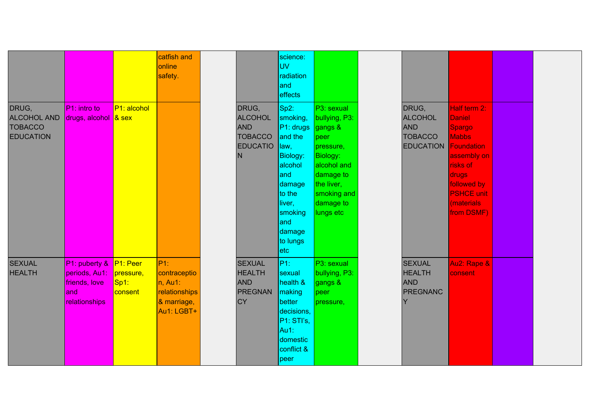|                                                                   |                                                                             |                                                | catfish and<br>online<br>safety.                                             |                                                                                 | science:<br><b>IUV</b><br>radiation<br>land<br>effects                                                                                                                  |                                                                                                                                                                   |                                                                                        |                                                                                                                                                              |  |
|-------------------------------------------------------------------|-----------------------------------------------------------------------------|------------------------------------------------|------------------------------------------------------------------------------|---------------------------------------------------------------------------------|-------------------------------------------------------------------------------------------------------------------------------------------------------------------------|-------------------------------------------------------------------------------------------------------------------------------------------------------------------|----------------------------------------------------------------------------------------|--------------------------------------------------------------------------------------------------------------------------------------------------------------|--|
| DRUG,<br><b>ALCOHOL AND</b><br><b>TOBACCO</b><br><b>EDUCATION</b> | P1: intro to<br>drugs, alcohol & sex                                        | P1: alcohol                                    |                                                                              | DRUG,<br><b>ALCOHOL</b><br><b>AND</b><br><b>TOBACCO</b><br><b>EDUCATIO</b><br>N | Sp2:<br>smoking,<br>P1: drugs<br>and the<br>law,<br>Biology:<br>alcohol<br>and<br>damage<br>to the<br>liver,<br>smoking<br>land<br>damage<br>to lungs<br>$ \text{etc} $ | P3: sexual<br>bullying, P3:<br>gangs &<br>peer<br>pressure,<br><b>Biology:</b><br>alcohol and<br>damage to<br>the liver,<br>smoking and<br>damage to<br>lungs etc | DRUG,<br><b>ALCOHOL</b><br><b>AND</b><br><b>TOBACCO</b><br><b>EDUCATION Foundation</b> | Half term 2:<br><b>Daniel</b><br>Spargo<br><b>Mabbs</b><br>assembly on<br>risks of<br>drugs<br>followed by<br><b>PSHCE unit</b><br>(materials)<br>from DSMF) |  |
| <b>SEXUAL</b><br><b>HEALTH</b>                                    | $PI:$ puberty $&$<br>periods, Au1:<br>friends, love<br>and<br>relationships | $ P1:$ Peer<br>pressure,<br>$Sp1$ :<br>consent | P1:<br>contraceptio<br>n, Au1:<br>relationships<br>& marriage,<br>Au1: LGBT+ | <b>SEXUAL</b><br><b>HEALTH</b><br><b>AND</b><br><b>PREGNAN</b><br><b>CY</b>     | P1:<br>sexual<br>health &<br><b>Imaking</b><br>better<br>decisions,<br> P1:STI's <br>Au1:<br>domestic<br>conflict &<br> peer                                            | P3: sexual<br>bullying, P3:<br>gangs &<br>peer<br>pressure,                                                                                                       | <b>SEXUAL</b><br><b>HEALTH</b><br><b>AND</b><br><b>PREGNANC</b><br>Y                   | Au2: Rape &<br>consent                                                                                                                                       |  |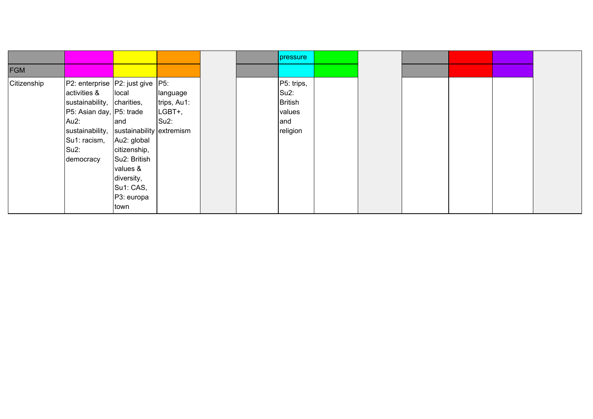|             |                                                                                                                                                                                                                                                                                                            |                                                                          | pressure                                                                |  |  |  |
|-------------|------------------------------------------------------------------------------------------------------------------------------------------------------------------------------------------------------------------------------------------------------------------------------------------------------------|--------------------------------------------------------------------------|-------------------------------------------------------------------------|--|--|--|
| <b>FGM</b>  |                                                                                                                                                                                                                                                                                                            |                                                                          |                                                                         |  |  |  |
| Citizenship | P2: enterprise   P2: just give   P5:<br>activities &<br>local<br>sustainability, charities,<br>P5: Asian day, P5: trade<br>Au2:<br>and<br>sustainability,<br>Su1: racism,<br>Au2: global<br>Su2:<br>citizenship,<br>Su2: British<br>democracy<br>values &<br>diversity,<br>Su1: CAS,<br>P3: europa<br>town | language<br>trips, Au1:<br>LGBT+,<br>$Su2$ :<br>sustainability extremism | P5: trips,<br>Su <sub>2</sub> :<br>British<br>values<br>and<br>religion |  |  |  |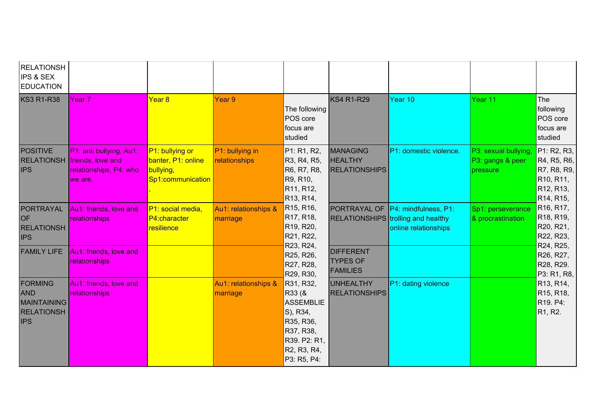| <b>RELATIONSH</b><br><b>IPS &amp; SEX</b><br><b>EDUCATION</b>                         |                                                                                                     |                                                                         |                                  |                                                                                                                             |                                                           |                                                                                                        |                                                      |                                                                                                                                                                |
|---------------------------------------------------------------------------------------|-----------------------------------------------------------------------------------------------------|-------------------------------------------------------------------------|----------------------------------|-----------------------------------------------------------------------------------------------------------------------------|-----------------------------------------------------------|--------------------------------------------------------------------------------------------------------|------------------------------------------------------|----------------------------------------------------------------------------------------------------------------------------------------------------------------|
| <b>KS3 R1-R38</b>                                                                     | Year 7                                                                                              | Year <sub>8</sub>                                                       | Year 9                           | The following<br>POS core<br>focus are<br>studied                                                                           | <b>KS4 R1-R29</b>                                         | Year 10                                                                                                | Year 11                                              | The<br>following<br>POS core<br>focus are<br>studied                                                                                                           |
| <b>POSITIVE</b><br><b>IPS</b>                                                         | P1: anti bullying, Au1:<br><b>RELATIONSH</b> friends, love and<br>relationships, P4: who<br>we are, | P1: bullying or<br>banter, P1: online<br>bullying,<br>Sp1:communication | P1: bullying in<br>relationships | P1: R1, R2,<br>R3, R4, R5,<br>R6, R7, R8,<br>R9, R10,<br>R11, R12,<br>R13, R14,                                             | <b>MANAGING</b><br><b>HEALTHY</b><br><b>RELATIONSHIPS</b> | P1: domestic violence.                                                                                 | P3: sexual bullying,<br>P3: gangs & peer<br>pressure | P1: R2, R3,<br>R4, R5, R6,<br>R7, R8, R9,<br>R <sub>10</sub> , R <sub>11</sub> ,<br>R <sub>12</sub> , R <sub>13</sub> ,<br>R <sub>14</sub> , R <sub>15</sub> , |
| PORTRAYAL<br><b>OF</b><br><b>RELATIONSH</b><br><b>IPS</b>                             | Au1: friends, love and<br>relationships                                                             | P1: social media,<br>P4:character<br>resilience                         | Au1: relationships &<br>marriage | R <sub>15</sub> , R <sub>16</sub> ,<br>R17, R18,<br>R19, R20,<br>R21, R22,<br>R23, R24,                                     |                                                           | PORTRAYAL OF P4: mindfulness, P1:<br><b>RELATIONSHIPS</b> trolling and healthy<br>online relationships | Sp1: perseverance<br>& procrastination               | R <sub>16</sub> , R <sub>17</sub> ,<br>R <sub>18</sub> , R <sub>19</sub> ,<br>R20, R21,<br>R22, R23,<br>R24, R25,                                              |
| <b>FAMILY LIFE</b>                                                                    | Au1: friends, love and<br>relationships                                                             |                                                                         |                                  | R25, R26,<br>R27, R28,<br>R29, R30,                                                                                         | <b>DIFFERENT</b><br><b>TYPES OF</b><br><b>FAMILIES</b>    |                                                                                                        |                                                      | R26, R27,<br>R28, R29.<br>P3: R1, R8,                                                                                                                          |
| <b>FORMING</b><br><b>AND</b><br><b>MAINTAINING</b><br><b>RELATIONSH</b><br><b>IPS</b> | Au1: friends, love and<br>relationships                                                             |                                                                         | Au1: relationships &<br>marriage | R31, R32,<br>R33 (&<br><b>ASSEMBLIE</b><br>S), R34,<br>R35, R36,<br>R37, R38,<br>R39. P2: R1,<br>R2, R3, R4,<br>P3: R5, P4: | <b>UNHEALTHY</b><br><b>RELATIONSHIPS</b>                  | P1: dating violence                                                                                    |                                                      | R <sub>13</sub> , R <sub>14</sub> ,<br>R <sub>15</sub> , R <sub>18</sub> ,<br>R <sub>19</sub> . P <sub>4</sub> :<br>R <sub>1</sub> , R <sub>2</sub> .          |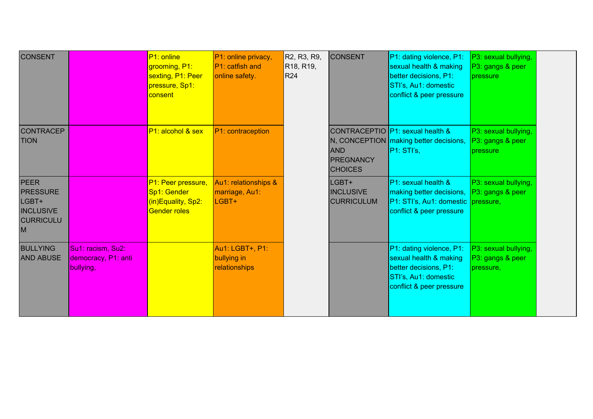| <b>CONSENT</b>                                                                       |                                                       | P1: online<br>grooming, P1:<br>sexting, P1: Peer<br>pressure, Sp1:<br>consent  | P1: online privacy,<br>P1: catfish and<br>online safety. | R2, R3, R9,<br>R <sub>18</sub> , R <sub>19</sub> ,<br><b>R24</b> | <b>CONSENT</b>                                   | P1: dating violence, P1:<br>sexual health & making<br>better decisions, P1:<br>STI's, Au1: domestic<br>conflict & peer pressure    | P3: sexual bullying,<br>P3: gangs & peer<br><b>pressure</b> |  |
|--------------------------------------------------------------------------------------|-------------------------------------------------------|--------------------------------------------------------------------------------|----------------------------------------------------------|------------------------------------------------------------------|--------------------------------------------------|------------------------------------------------------------------------------------------------------------------------------------|-------------------------------------------------------------|--|
| <b>CONTRACEP</b><br><b>TION</b>                                                      |                                                       | P1: alcohol & sex                                                              | P1: contraception                                        |                                                                  | <b>AND</b><br><b>PREGNANCY</b><br><b>CHOICES</b> | CONTRACEPTIO P1: sexual health &<br>N, CONCEPTION making better decisions,<br> P1:STi's                                            | P3: sexual bullying,<br>P3: gangs & peer<br>pressure        |  |
| <b>PEER</b><br><b>PRESSURE</b><br>LGBT+<br><b>INCLUSIVE</b><br><b>CURRICULU</b><br>M |                                                       | P1: Peer pressure,<br>Sp1: Gender<br>(in)Equality, Sp2:<br><b>Gender roles</b> | Au1: relationships &<br>marriage, Au1:<br>LGBT+          |                                                                  | LGBT+<br><b>INCLUSIVE</b><br><b>CURRICULUM</b>   | P1: sexual health &<br>making better decisions, P3: gangs & peer<br>P1: STI's, Au1: domestic pressure,<br>conflict & peer pressure | P3: sexual bullying,                                        |  |
| <b>BULLYING</b><br><b>AND ABUSE</b>                                                  | Su1: racism, Su2:<br>democracy, P1: anti<br>bullying, |                                                                                | Au1: LGBT+, P1:<br>bullying in<br>relationships          |                                                                  |                                                  | P1: dating violence, P1:<br>sexual health & making<br>better decisions, P1:<br>STI's, Au1: domestic<br>conflict & peer pressure    | P3: sexual bullying,<br>P3: gangs & peer<br>pressure,       |  |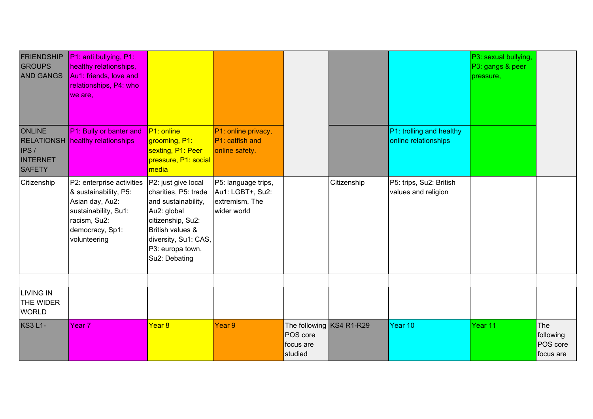| <b>FRIENDSHIP</b><br><b>GROUPS</b><br><b>AND GANGS</b>     | P1: anti bullying, P1:<br>healthy relationships,<br>Au1: friends, love and<br>relationships, P4: who<br>we are,                                  |                                                                                                                                                                                         |                                                                          |                                                              |             |                                                  | P3: sexual bullying,<br>P3: gangs & peer<br>pressure, |                                           |
|------------------------------------------------------------|--------------------------------------------------------------------------------------------------------------------------------------------------|-----------------------------------------------------------------------------------------------------------------------------------------------------------------------------------------|--------------------------------------------------------------------------|--------------------------------------------------------------|-------------|--------------------------------------------------|-------------------------------------------------------|-------------------------------------------|
| <b>ONLINE</b><br>IPS /<br><b>INTERNET</b><br><b>SAFETY</b> | P1: Bully or banter and<br><b>RELATIONSH</b> healthy relationships                                                                               | P1: online<br>grooming, P1:<br>sexting, P1: Peer<br>pressure, P1: social<br>media                                                                                                       | P1: online privacy,<br>P1: catfish and<br>online safety.                 |                                                              |             | P1: trolling and healthy<br>online relationships |                                                       |                                           |
| Citizenship                                                | P2: enterprise activities<br>& sustainability, P5:<br>Asian day, Au2:<br>sustainability, Su1:<br>racism, Su2:<br>democracy, Sp1:<br>volunteering | P2: just give local<br>charities, P5: trade<br>and sustainability,<br>Au2: global<br>citizenship, Su2:<br>British values &<br>diversity, Su1: CAS,<br>P3: europa town,<br>Su2: Debating | P5: language trips,<br>Au1: LGBT+, Su2:<br>extremism, The<br>wider world |                                                              | Citizenship | P5: trips, Su2: British<br>values and religion   |                                                       |                                           |
| <b>LIVING IN</b><br><b>THE WIDER</b><br><b>WORLD</b>       |                                                                                                                                                  |                                                                                                                                                                                         |                                                                          |                                                              |             |                                                  |                                                       |                                           |
| <b>KS3 L1-</b>                                             | Year <sub>7</sub>                                                                                                                                | Year 8                                                                                                                                                                                  | Year 9                                                                   | The following KS4 R1-R29<br>POS core<br>focus are<br>studied |             | Year 10                                          | Year 11                                               | The<br>following<br>POS core<br>focus are |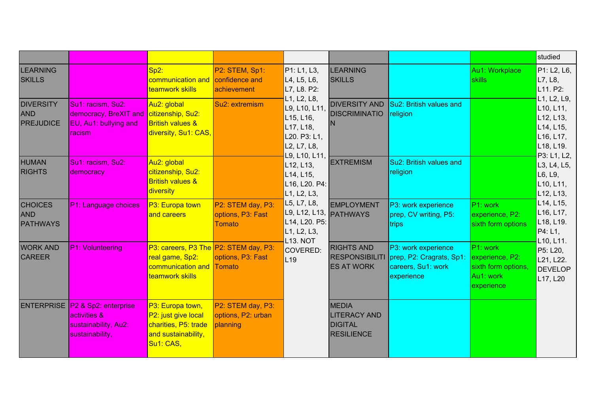|                                                    |                                                                                                         |                                                                                                         |                                                         |                                                                                          |                                                                            |                                                                                     |                                                                               | studied                                                                                                                                                                                              |
|----------------------------------------------------|---------------------------------------------------------------------------------------------------------|---------------------------------------------------------------------------------------------------------|---------------------------------------------------------|------------------------------------------------------------------------------------------|----------------------------------------------------------------------------|-------------------------------------------------------------------------------------|-------------------------------------------------------------------------------|------------------------------------------------------------------------------------------------------------------------------------------------------------------------------------------------------|
| <b>LEARNING</b><br><b>SKILLS</b>                   |                                                                                                         | $Sp2$ :<br>communication and<br>teamwork skills                                                         | P2: STEM, Sp1:<br>confidence and<br>achievement         | P1: L1, L3,<br>L4, L5, L6,<br>L7, L8. P2:                                                | <b>LEARNING</b><br><b>SKILLS</b>                                           |                                                                                     | Au1: Workplace<br><b>skills</b>                                               | P1: L2, L6,<br>L7, L8,<br>L11. P2:                                                                                                                                                                   |
| <b>DIVERSITY</b><br><b>AND</b><br><b>PREJUDICE</b> | Su1: racism, Su2:<br>democracy, BreXIT and citizenship, Su2:<br>$ EU, Au1:$ bullying and<br>Iracism.    | Au2: global<br><b>British values &amp;</b><br>diversity, Su1: CAS,                                      | Su2: extremism                                          | L1, L2, L8,<br>L9, L10, L11,<br>L15, L16,<br>L17, L18,<br>L20. P3: L1,<br>L2, L7, L8,    | <b>DIVERSITY AND</b><br><b>DISCRIMINATIO</b><br>IN.                        | Su2: British values and<br>religion                                                 |                                                                               | L1, L2, L9,<br>L <sub>10</sub> , L <sub>11</sub> ,<br>L <sub>12</sub> , L <sub>13</sub> ,<br>$L$ 14, L <sub>15</sub> ,<br>L <sub>16</sub> , L <sub>17</sub> ,<br>L <sub>18</sub> , L <sub>19</sub> . |
| <b>HUMAN</b><br><b>RIGHTS</b>                      | Su1: racism, Su2:<br>democracy                                                                          | Au2: global<br>citizenship, Su2:<br><b>British values &amp;</b><br>diversity                            |                                                         | L9, L10, L11,<br>L12, L13,<br>L14, L15,<br>L16, L20. P4:<br>L1, L2, L3,                  | <b>EXTREMISM</b>                                                           | Su2: British values and<br>religion                                                 |                                                                               | P3: L1, L2,<br>L3, L4, L5,<br>L6, L9,<br>L <sub>10</sub> , L <sub>11</sub> ,<br>L <sub>12</sub> , L <sub>13</sub> ,                                                                                  |
| <b>CHOICES</b><br><b>AND</b><br><b>PATHWAYS</b>    | P1: Language choices                                                                                    | P3: Europa town<br>and careers                                                                          | P2: STEM day, P3:<br>options, P3: Fast<br><b>Tomato</b> | L5, L7, L8,<br>L9, L12, L13, PATHWAYS<br>L14, L20. P5:<br>L1, L2, L3,<br><b>L13. NOT</b> | <b>EMPLOYMENT</b>                                                          | P3: work experience<br>prep, CV writing, P5:<br>trips                               | P1: work<br>experience, P2:<br>sixth form options                             | L14, L15,<br>L <sub>16</sub> , L <sub>17</sub> ,<br>L18, L19.<br>P4: L1,<br>L10, L11.                                                                                                                |
| <b>WORK AND</b><br><b>CAREER</b>                   | <b>P1: Volunteering</b>                                                                                 | P3: careers, P3 The P2: STEM day, P3:<br>real game, Sp2:<br>communication and Tomato<br>teamwork skills | options, P3: Fast                                       | COVERED:<br>L19                                                                          | <b>RIGHTS AND</b><br><b>RESPONSIBILITI</b><br><b>ES AT WORK</b>            | P3: work experience<br>prep, P2: Cragrats, Sp1:<br>careers, Su1: work<br>experience | P1: work<br>experience, P2:<br>sixth form options,<br>Au1: work<br>experience | P5: L20,<br>L21, L22.<br><b>DEVELOP</b><br>L17, L20                                                                                                                                                  |
|                                                    | ENTERPRISE   P2 & Sp2: enterprise<br><b>activities &amp;</b><br>sustainability, Au2:<br>sustainability, | P3: Europa town,<br>P2: just give local<br>charities, P5: trade<br>and sustainability,<br>Su1: CAS,     | P2: STEM day, P3:<br>options, P2: urban<br>planning     |                                                                                          | <b>MEDIA</b><br><b>LITERACY AND</b><br><b>DIGITAL</b><br><b>RESILIENCE</b> |                                                                                     |                                                                               |                                                                                                                                                                                                      |